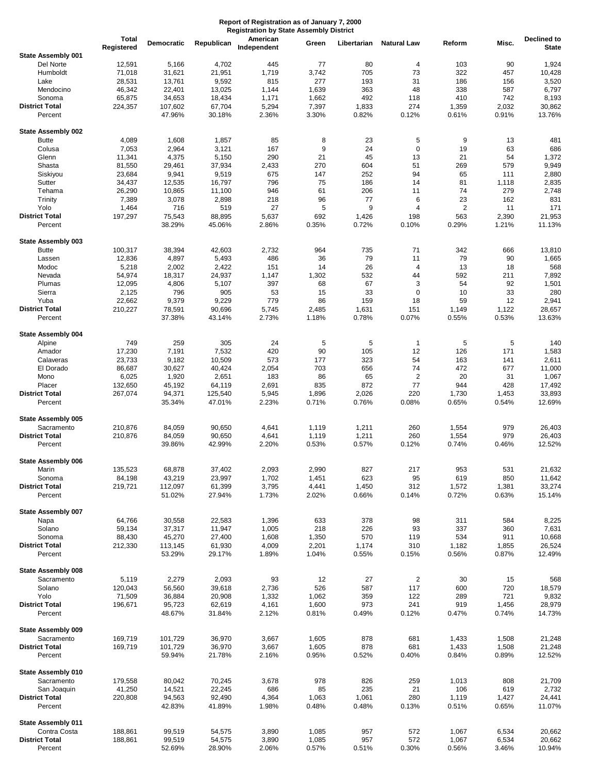|                                  | <b>Total</b><br>Registered | Democratic       | Republican       | American<br>Independent | Green          | Libertarian    | <b>Natural Law</b>      | Reform         | Misc.          | Declined to<br><b>State</b> |
|----------------------------------|----------------------------|------------------|------------------|-------------------------|----------------|----------------|-------------------------|----------------|----------------|-----------------------------|
| State Assembly 001               |                            |                  |                  |                         |                |                |                         |                |                |                             |
| Del Norte                        | 12,591                     | 5,166            | 4,702            | 445                     | 77             | 80             | 4                       | 103            | 90             | 1,924                       |
| Humboldt                         | 71,018                     | 31,621           | 21,951           | 1,719                   | 3,742          | 705            | 73                      | 322            | 457            | 10,428                      |
| Lake                             | 28,531                     | 13,761           | 9,592            | 815                     | 277            | 193            | 31                      | 186            | 156            | 3,520                       |
| Mendocino                        | 46,342                     | 22,401           | 13,025           | 1,144                   | 1,639          | 363            | 48                      | 338            | 587            | 6,797                       |
| Sonoma                           | 65,875                     | 34,653           | 18,434           | 1,171                   | 1,662          | 492            | 118                     | 410            | 742            | 8,193                       |
| <b>District Total</b>            | 224,357                    | 107,602          | 67,704           | 5,294                   | 7,397          | 1,833          | 274                     | 1,359          | 2,032          | 30,862                      |
| Percent                          |                            | 47.96%           | 30.18%           | 2.36%                   | 3.30%          | 0.82%          | 0.12%                   | 0.61%          | 0.91%          | 13.76%                      |
| State Assembly 002               |                            |                  |                  |                         |                |                |                         |                |                |                             |
| <b>Butte</b>                     | 4,089                      | 1,608            | 1,857            | 85                      | 8              | 23             | 5                       | 9              | 13             | 481                         |
| Colusa                           | 7,053                      | 2,964            | 3,121            | 167                     | 9              | 24             | $\pmb{0}$               | 19             | 63             | 686                         |
| Glenn                            | 11,341                     | 4,375            | 5,150            | 290                     | 21             | 45             | 13                      | 21             | 54             | 1,372                       |
| Shasta                           | 81,550                     | 29,461           | 37,934           | 2,433                   | 270            | 604            | 51                      | 269            | 579            | 9,949                       |
| Siskiyou                         | 23,684                     | 9,941            | 9,519            | 675                     | 147            | 252            | 94                      | 65             | 111            | 2,880                       |
| Sutter                           | 34,437                     | 12,535           | 16,797           | 796                     | 75             | 186            | 14                      | 81             | 1,118          | 2,835                       |
| Tehama                           | 26,290                     | 10,865           | 11,100           | 946                     | 61             | 206            | 11                      | 74             | 279            | 2,748                       |
| Trinity                          | 7,389                      | 3,078            | 2,898            | 218                     | 96             | 77             | 6                       | 23             | 162            | 831                         |
| Yolo                             | 1,464                      | 716              | 519              | 27                      | 5              | 9              | 4                       | 2              | 11             | 171                         |
| <b>District Total</b><br>Percent | 197,297                    | 75,543<br>38.29% | 88,895<br>45.06% | 5,637<br>2.86%          | 692<br>0.35%   | 1,426<br>0.72% | 198<br>0.10%            | 563<br>0.29%   | 2,390<br>1.21% | 21,953<br>11.13%            |
| State Assembly 003               |                            |                  |                  |                         |                |                |                         |                |                |                             |
| <b>Butte</b>                     | 100,317                    | 38,394           | 42,603           | 2,732                   | 964            | 735            | 71                      | 342            | 666            | 13,810                      |
| Lassen                           | 12,836                     | 4,897            | 5,493            | 486                     | 36             | 79             | 11                      | 79             | 90             | 1,665                       |
| Modoc                            | 5,218                      | 2,002            | 2,422            | 151                     | 14             | 26             | 4                       | 13             | 18             | 568                         |
| Nevada                           | 54,974                     | 18,317           | 24,937           | 1,147                   | 1,302          | 532            | 44                      | 592            | 211            | 7,892                       |
| Plumas                           | 12,095                     | 4,806            | 5,107            | 397                     | 68             | 67             | 3                       | 54             | 92             | 1,501                       |
| Sierra                           | 2,125                      | 796              | 905              | 53                      | 15             | 33             | 0                       | 10             | 33             | 280                         |
| Yuba                             | 22,662                     | 9,379            | 9,229            | 779                     | 86             | 159            | 18                      | 59             | 12             | 2,941                       |
| <b>District Total</b>            | 210,227                    | 78,591           | 90,696           | 5,745                   | 2,485          | 1,631          | 151                     | 1,149          | 1,122          | 28,657                      |
| Percent                          |                            | 37.38%           | 43.14%           | 2.73%                   | 1.18%          | 0.78%          | 0.07%                   | 0.55%          | 0.53%          | 13.63%                      |
| <b>State Assembly 004</b>        |                            |                  |                  |                         |                |                |                         |                |                |                             |
| Alpine                           | 749                        | 259              | 305              | 24                      | 5              | 5              | $\mathbf{1}$            | 5              | 5              | 140                         |
| Amador                           | 17,230                     | 7,191            | 7,532            | 420                     | 90             | 105            | 12                      | 126            | 171            | 1,583                       |
| Calaveras                        | 23,733                     | 9,182            | 10,509           | 573                     | 177            | 323            | 54                      | 163            | 141            | 2,611                       |
| El Dorado                        | 86,687                     | 30,627           | 40,424           | 2,054                   | 703            | 656            | 74                      | 472            | 677            | 11,000                      |
| Mono                             | 6,025                      | 1,920            | 2,651            | 183                     | 86             | 65             | $\overline{2}$          | 20             | 31             | 1,067                       |
| Placer                           | 132,650                    | 45,192           | 64,119           | 2,691                   | 835            | 872            | 77                      | 944            | 428            | 17,492                      |
| <b>District Total</b>            | 267,074                    | 94,371           | 125,540          | 5,945                   | 1,896          | 2,026          | 220                     | 1,730          | 1,453          | 33,893                      |
| Percent                          |                            | 35.34%           | 47.01%           | 2.23%                   | 0.71%          | 0.76%          | 0.08%                   | 0.65%          | 0.54%          | 12.69%                      |
| State Assembly 005               |                            |                  |                  |                         |                |                |                         |                |                |                             |
| Sacramento                       | 210,876                    | 84,059           | 90,650           | 4,641                   | 1,119          | 1,211          | 260                     | 1,554          | 979            | 26,403                      |
| <b>District Total</b><br>Percent | 210,876                    | 84,059<br>39.86% | 90,650<br>42.99% | 4,641<br>2.20%          | 1,119<br>0.53% | 1,211<br>0.57% | 260<br>0.12%            | 1,554<br>0.74% | 979<br>0.46%   | 26,403<br>12.52%            |
| <b>State Assembly 006</b>        |                            |                  |                  |                         |                |                |                         |                |                |                             |
| Marin                            | 135,523                    | 68,878           | 37,402           | 2,093                   | 2,990          | 827            | 217                     | 953            | 531            | 21,632                      |
| Sonoma                           | 84,198                     | 43,219           | 23,997           | 1,702                   | 1,451          | 623            | 95                      | 619            | 850            | 11,642                      |
| <b>District Total</b>            | 219,721                    | 112,097          | 61,399           | 3,795                   | 4,441          | 1,450          | 312                     | 1,572          | 1,381          | 33,274                      |
| Percent                          |                            | 51.02%           | 27.94%           | 1.73%                   | 2.02%          | 0.66%          | 0.14%                   | 0.72%          | 0.63%          | 15.14%                      |
| State Assembly 007               |                            |                  |                  |                         |                |                |                         |                |                |                             |
| Napa                             | 64,766                     | 30,558           | 22,583           | 1,396                   | 633            | 378            | 98                      | 311            | 584            | 8,225                       |
| Solano                           | 59,134                     | 37,317           | 11,947           | 1,005                   | 218            | 226            | 93                      | 337            | 360            | 7,631                       |
| Sonoma                           | 88,430                     | 45,270           | 27,400           | 1,608                   | 1,350          | 570            | 119                     | 534            | 911            | 10,668                      |
| <b>District Total</b>            | 212,330                    | 113,145          | 61,930           | 4,009                   | 2,201          | 1,174          | 310                     | 1,182          | 1,855          | 26,524                      |
| Percent                          |                            | 53.29%           | 29.17%           | 1.89%                   | 1.04%          | 0.55%          | 0.15%                   | 0.56%          | 0.87%          | 12.49%                      |
| State Assembly 008               |                            |                  |                  |                         |                |                |                         |                |                |                             |
| Sacramento                       | 5,119                      | 2,279            | 2,093            | 93                      | 12             | 27             | $\overline{\mathbf{c}}$ | 30             | 15             | 568                         |
| Solano                           | 120,043                    | 56,560           | 39,618           | 2,736                   | 526            | 587            | 117                     | 600            | 720            | 18,579                      |
| Yolo                             | 71,509                     | 36,884           | 20,908           | 1,332                   | 1,062          | 359            | 122                     | 289            | 721            | 9,832                       |
| <b>District Total</b>            | 196,671                    | 95,723           | 62,619           | 4,161                   | 1,600          | 973            | 241                     | 919            | 1,456          | 28,979                      |
| Percent                          |                            | 48.67%           | 31.84%           | 2.12%                   | 0.81%          | 0.49%          | 0.12%                   | 0.47%          | 0.74%          | 14.73%                      |
| State Assembly 009<br>Sacramento | 169,719                    | 101,729          | 36,970           | 3,667                   | 1,605          | 878            | 681                     | 1,433          | 1,508          | 21,248                      |
| <b>District Total</b>            | 169,719                    | 101,729          | 36,970           | 3,667                   | 1,605          | 878            | 681                     | 1,433          | 1,508          | 21,248                      |
| Percent                          |                            | 59.94%           | 21.78%           | 2.16%                   | 0.95%          | 0.52%          | 0.40%                   | 0.84%          | 0.89%          | 12.52%                      |
| State Assembly 010               |                            |                  |                  |                         |                |                |                         |                |                |                             |
| Sacramento                       | 179,558                    | 80,042           | 70,245           | 3,678                   | 978            | 826            | 259                     | 1,013          | 808            | 21,709                      |
| San Joaquin                      | 41,250                     | 14,521           | 22,245           | 686                     | 85             | 235            | 21                      | 106            | 619            | 2,732                       |
| <b>District Total</b>            | 220,808                    | 94,563           | 92,490           | 4,364                   | 1,063          | 1,061          | 280                     | 1,119          | 1,427          | 24,441                      |
| Percent                          |                            | 42.83%           | 41.89%           | 1.98%                   | 0.48%          | 0.48%          | 0.13%                   | 0.51%          | 0.65%          | 11.07%                      |
| State Assembly 011               |                            |                  |                  |                         |                |                |                         |                |                |                             |
| Contra Costa                     | 188,861                    | 99,519           | 54,575           | 3,890                   | 1,085          | 957            | 572                     | 1,067          | 6,534          | 20,662                      |
| <b>District Total</b><br>Percent | 188,861                    | 99,519<br>52.69% | 54,575           | 3,890                   | 1,085<br>0.57% | 957<br>0.51%   | 572<br>0.30%            | 1,067          | 6,534<br>3.46% | 20,662<br>10.94%            |
|                                  |                            |                  | 28.90%           | 2.06%                   |                |                |                         | 0.56%          |                |                             |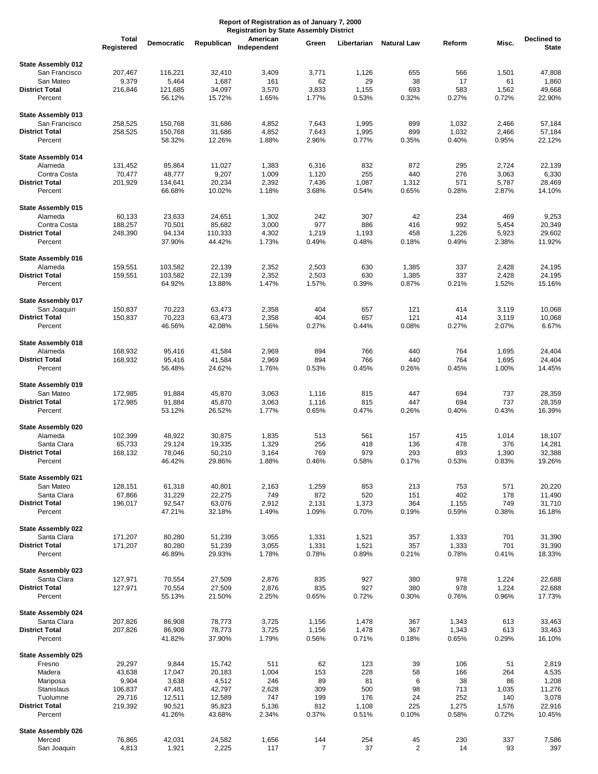|                                       | <b>Total</b><br>Registered | Democratic        | Republican        | American<br>Independent | Green          | Libertarian    | <b>Natural Law</b> | Reform         | Misc.          | Declined to<br><b>State</b> |
|---------------------------------------|----------------------------|-------------------|-------------------|-------------------------|----------------|----------------|--------------------|----------------|----------------|-----------------------------|
| State Assembly 012                    |                            |                   |                   |                         |                |                |                    |                |                |                             |
| San Francisco                         | 207,467                    | 116,221           | 32,410            | 3,409                   | 3,771          | 1,126          | 655                | 566            | 1,501          | 47,808                      |
| San Mateo                             | 9,379                      | 5,464             | 1,687             | 161                     | 62             | 29             | 38                 | 17             | 61             | 1,860                       |
| <b>District Total</b><br>Percent      | 216,846                    | 121,685<br>56.12% | 34,097<br>15.72%  | 3,570<br>1.65%          | 3,833<br>1.77% | 1,155<br>0.53% | 693<br>0.32%       | 583<br>0.27%   | 1,562<br>0.72% | 49,668<br>22.90%            |
| State Assembly 013                    |                            |                   |                   |                         |                |                |                    |                |                |                             |
| San Francisco                         | 258,525                    | 150,768           | 31,686            | 4,852                   | 7,643          | 1,995          | 899                | 1,032          | 2,466          | 57,184                      |
| <b>District Total</b>                 | 258,525                    | 150,768           | 31,686            | 4,852                   | 7,643          | 1,995          | 899                | 1,032          | 2,466          | 57,184                      |
| Percent                               |                            | 58.32%            | 12.26%            | 1.88%                   | 2.96%          | 0.77%          | 0.35%              | 0.40%          | 0.95%          | 22.12%                      |
| <b>State Assembly 014</b><br>Alameda  | 131,452                    | 85,864            | 11,027            | 1,383                   | 6,316          | 832            | 872                | 295            | 2,724          | 22,139                      |
| Contra Costa                          | 70,477                     | 48,777            | 9,207             | 1,009                   | 1,120          | 255            | 440                | 276            | 3,063          | 6,330                       |
| <b>District Total</b>                 | 201,929                    | 134,641           | 20,234            | 2,392                   | 7,436          | 1,087          | 1,312              | 571            | 5,787          | 28,469                      |
| Percent                               |                            | 66.68%            | 10.02%            | 1.18%                   | 3.68%          | 0.54%          | 0.65%              | 0.28%          | 2.87%          | 14.10%                      |
| <b>State Assembly 015</b>             |                            |                   |                   |                         |                |                |                    |                |                |                             |
| Alameda                               | 60,133                     | 23,633            | 24,651            | 1,302                   | 242            | 307            | 42                 | 234            | 469            | 9,253                       |
| Contra Costa<br><b>District Total</b> | 188,257<br>248,390         | 70,501<br>94,134  | 85,682<br>110,333 | 3,000<br>4,302          | 977<br>1,219   | 886<br>1,193   | 416<br>458         | 992<br>1,226   | 5,454<br>5,923 | 20,349<br>29,602            |
| Percent                               |                            | 37.90%            | 44.42%            | 1.73%                   | 0.49%          | 0.48%          | 0.18%              | 0.49%          | 2.38%          | 11.92%                      |
| State Assembly 016                    |                            |                   |                   |                         |                |                |                    |                |                |                             |
| Alameda                               | 159,551                    | 103,582           | 22,139            | 2,352                   | 2,503          | 630            | 1,385              | 337            | 2,428          | 24,195                      |
| <b>District Total</b>                 | 159,551                    | 103,582           | 22,139            | 2,352                   | 2,503          | 630            | 1,385              | 337            | 2,428          | 24,195                      |
| Percent                               |                            | 64.92%            | 13.88%            | 1.47%                   | 1.57%          | 0.39%          | 0.87%              | 0.21%          | 1.52%          | 15.16%                      |
| State Assembly 017                    |                            |                   |                   |                         | 404            | 657            | 121                | 414            |                |                             |
| San Joaquin<br><b>District Total</b>  | 150,837<br>150,837         | 70,223<br>70,223  | 63,473<br>63,473  | 2,358<br>2,358          | 404            | 657            | 121                | 414            | 3,119<br>3,119 | 10,068<br>10,068            |
| Percent                               |                            | 46.56%            | 42.08%            | 1.56%                   | 0.27%          | 0.44%          | 0.08%              | 0.27%          | 2.07%          | 6.67%                       |
| <b>State Assembly 018</b>             |                            |                   |                   |                         |                |                |                    |                |                |                             |
| Alameda                               | 168,932                    | 95,416            | 41,584            | 2,969                   | 894            | 766            | 440                | 764            | 1,695          | 24,404                      |
| <b>District Total</b><br>Percent      | 168,932                    | 95,416<br>56.48%  | 41,584<br>24.62%  | 2,969<br>1.76%          | 894<br>0.53%   | 766<br>0.45%   | 440<br>0.26%       | 764<br>0.45%   | 1,695<br>1.00% | 24,404<br>14.45%            |
|                                       |                            |                   |                   |                         |                |                |                    |                |                |                             |
| State Assembly 019<br>San Mateo       | 172,985                    | 91,884            | 45,870            | 3,063                   | 1,116          | 815            | 447                | 694            | 737            | 28,359                      |
| <b>District Total</b>                 | 172,985                    | 91,884            | 45,870            | 3,063                   | 1,116          | 815            | 447                | 694            | 737            | 28,359                      |
| Percent                               |                            | 53.12%            | 26.52%            | 1.77%                   | 0.65%          | 0.47%          | 0.26%              | 0.40%          | 0.43%          | 16.39%                      |
| State Assembly 020                    |                            |                   |                   |                         |                |                |                    |                |                |                             |
| Alameda                               | 102,399                    | 48,922            | 30,875            | 1,835                   | 513            | 561            | 157                | 415            | 1,014          | 18,107                      |
| Santa Clara<br><b>District Total</b>  | 65,733<br>168,132          | 29,124<br>78,046  | 19,335<br>50,210  | 1,329<br>3,164          | 256<br>769     | 418<br>979     | 136<br>293         | 478<br>893     | 376<br>1,390   | 14,281<br>32,388            |
| Percent                               |                            | 46.42%            | 29.86%            | 1.88%                   | 0.46%          | 0.58%          | 0.17%              | 0.53%          | 0.83%          | 19.26%                      |
| <b>State Assembly 021</b>             |                            |                   |                   |                         |                |                |                    |                |                |                             |
| San Mateo                             | 128,151                    | 61,318            | 40,801            | 2,163                   | 1,259          | 853            | 213                | 753            | 571            | 20,220                      |
| Santa Clara                           | 67,866                     | 31,229            | 22,275            | 749                     | 872            | 520            | 151                | 402            | 178            | 11,490                      |
| <b>District Total</b><br>Percent      | 196,017                    | 92,547            | 63,076<br>32.18%  | 2,912<br>1.49%          | 2,131<br>1.09% | 1,373<br>0.70% | 364<br>0.19%       | 1,155<br>0.59% | 749<br>0.38%   | 31,710<br>16.18%            |
|                                       |                            | 47.21%            |                   |                         |                |                |                    |                |                |                             |
| State Assembly 022<br>Santa Clara     | 171,207                    | 80,280            | 51,239            | 3,055                   | 1,331          | 1,521          | 357                | 1,333          | 701            | 31,390                      |
| <b>District Total</b>                 | 171,207                    | 80,280            | 51,239            | 3,055                   | 1,331          | 1,521          | 357                | 1,333          | 701            | 31,390                      |
| Percent                               |                            | 46.89%            | 29.93%            | 1.78%                   | 0.78%          | 0.89%          | 0.21%              | 0.78%          | 0.41%          | 18.33%                      |
| State Assembly 023                    |                            |                   |                   |                         |                |                |                    |                |                |                             |
| Santa Clara<br><b>District Total</b>  | 127,971                    | 70,554            | 27,509            | 2,876                   | 835            | 927            | 380                | 978            | 1,224          | 22,688                      |
| Percent                               | 127,971                    | 70,554<br>55.13%  | 27,509<br>21.50%  | 2,876<br>2.25%          | 835<br>0.65%   | 927<br>0.72%   | 380<br>0.30%       | 978<br>0.76%   | 1,224<br>0.96% | 22,688<br>17.73%            |
| State Assembly 024                    |                            |                   |                   |                         |                |                |                    |                |                |                             |
| Santa Clara                           | 207,826                    | 86,908            | 78,773            | 3,725                   | 1,156          | 1,478          | 367                | 1,343          | 613            | 33,463                      |
| <b>District Total</b>                 | 207,826                    | 86,908            | 78,773            | 3,725                   | 1,156          | 1,478          | 367                | 1,343          | 613            | 33,463                      |
| Percent                               |                            | 41.82%            | 37.90%            | 1.79%                   | 0.56%          | 0.71%          | 0.18%              | 0.65%          | 0.29%          | 16.10%                      |
| State Assembly 025<br>Fresno          | 29,297                     | 9,844             | 15,742            | 511                     | 62             |                |                    | 106            | 51             |                             |
| Madera                                | 43,638                     | 17,047            | 20,183            | 1,004                   | 153            | 123<br>228     | 39<br>58           | 166            | 264            | 2,819<br>4,535              |
| Mariposa                              | 9,904                      | 3,638             | 4,512             | 246                     | 89             | 81             | 6                  | 38             | 86             | 1,208                       |
| Stanislaus                            | 106,837                    | 47,481            | 42,797            | 2,628                   | 309            | 500            | 98                 | 713            | 1,035          | 11,276                      |
| Tuolumne                              | 29,716                     | 12,511            | 12,589            | 747                     | 199            | 176            | 24                 | 252            | 140            | 3,078                       |
| <b>District Total</b><br>Percent      | 219,392                    | 90,521<br>41.26%  | 95,823<br>43.68%  | 5,136<br>2.34%          | 812<br>0.37%   | 1,108<br>0.51% | 225<br>0.10%       | 1,275<br>0.58% | 1,576<br>0.72% | 22,916<br>10.45%            |
|                                       |                            |                   |                   |                         |                |                |                    |                |                |                             |
| State Assembly 026<br>Merced          | 76,865                     | 42,031            | 24,582            | 1,656                   | 144            | 254            | 45                 | 230            | 337            | 7,586                       |
| San Joaquin                           | 4,813                      | 1,921             | 2,225             | 117                     | $\overline{7}$ | 37             | $\overline{2}$     | 14             | 93             | 397                         |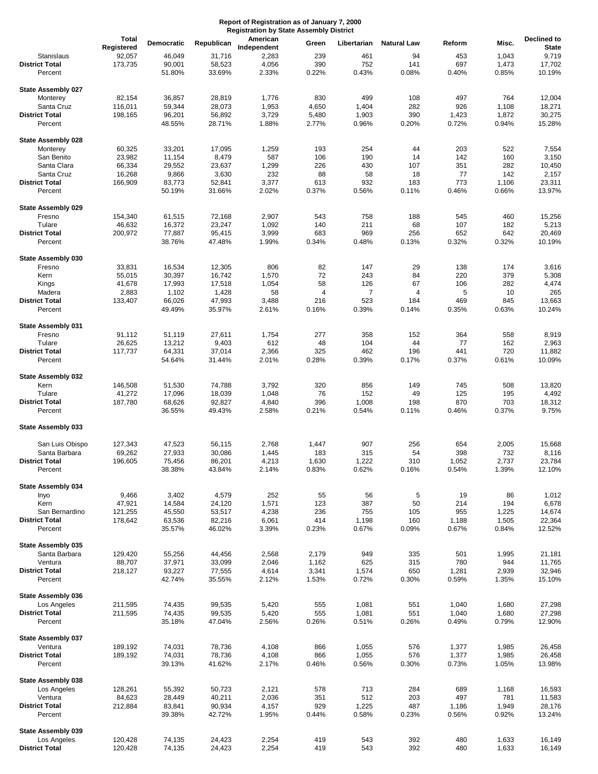|                           | <b>Total</b>      | Democratic       |                 | American       |            |             | <b>Natural Law</b> |           | Misc.     | <b>Declined to</b> |
|---------------------------|-------------------|------------------|-----------------|----------------|------------|-------------|--------------------|-----------|-----------|--------------------|
|                           | Registered        |                  | Republican      | Independent    | Green      | Libertarian |                    | Reform    |           | <b>State</b>       |
| Stanislaus                | 92,057            | 46,049           | 31,716          | 2,283          | 239        | 461         | 94                 | 453       | 1,043     | 9,719              |
| <b>District Total</b>     | 173,735           | 90,001           | 58,523          | 4,056          | 390        | 752         | 141                | 697       | 1,473     | 17,702             |
| Percent                   |                   | 51.80%           | 33.69%          | 2.33%          | 0.22%      | 0.43%       | 0.08%              | 0.40%     | 0.85%     | 10.19%             |
|                           |                   |                  |                 |                |            |             |                    |           |           |                    |
| <b>State Assembly 027</b> |                   |                  |                 |                |            |             |                    |           |           |                    |
| Monterey                  | 82,154            | 36,857           | 28,819          | 1,776          | 830        | 499         | 108                | 497       | 764       | 12,004             |
| Santa Cruz                | 116,011           | 59,344           | 28,073          | 1,953          | 4,650      | 1,404       | 282                | 926       | 1,108     | 18,271             |
| <b>District Total</b>     | 198,165           | 96,201           | 56,892          | 3,729          | 5,480      | 1,903       | 390                | 1,423     | 1,872     | 30,275             |
| Percent                   |                   | 48.55%           | 28.71%          | 1.88%          | 2.77%      | 0.96%       | 0.20%              | 0.72%     | 0.94%     | 15.28%             |
|                           |                   |                  |                 |                |            |             |                    |           |           |                    |
| <b>State Assembly 028</b> |                   |                  |                 |                |            |             |                    |           |           |                    |
| Monterey                  | 60,325            | 33,201           | 17,095          | 1,259          | 193        | 254         | 44                 | 203       | 522       | 7,554              |
| San Benito                | 23,982            | 11,154           | 8,479           | 587            | 106        | 190         | 14                 | 142       | 160       | 3,150              |
| Santa Clara               | 66,334            | 29,552           | 23,637          | 1,299          | 226        | 430         | 107                | 351       | 282       | 10,450             |
| Santa Cruz                | 16,268            | 9,866            | 3,630           | 232            | 88         | 58          | 18                 | 77        | 142       | 2,157              |
| <b>District Total</b>     | 166,909           | 83,773           | 52,841          | 3,377          | 613        | 932         | 183                | 773       | 1,106     | 23,311             |
| Percent                   |                   | 50.19%           | 31.66%          | 2.02%          | 0.37%      | 0.56%       | 0.11%              | 0.46%     | 0.66%     | 13.97%             |
|                           |                   |                  |                 |                |            |             |                    |           |           |                    |
| <b>State Assembly 029</b> |                   |                  | 72,168          |                |            | 758         | 188                | 545       | 460       |                    |
| Fresno<br>Tulare          | 154,340<br>46,632 | 61,515<br>16,372 | 23,247          | 2,907<br>1,092 | 543<br>140 | 211         | 68                 | 107       | 182       | 15,256<br>5,213    |
| <b>District Total</b>     | 200,972           | 77,887           | 95,415          | 3,999          | 683        | 969         | 256                | 652       | 642       | 20,469             |
| Percent                   |                   | 38.76%           | 47.48%          | 1.99%          | 0.34%      | 0.48%       | 0.13%              | 0.32%     | 0.32%     | 10.19%             |
|                           |                   |                  |                 |                |            |             |                    |           |           |                    |
| State Assembly 030        |                   |                  |                 |                |            |             |                    |           |           |                    |
| Fresno                    | 33,831            | 16,534           | 12,305          | 806            | 82         | 147         | 29                 | 138       | 174       | 3,616              |
| Kern                      | 55,015            | 30,397           | 16,742          | 1,570          | 72         | 243         | 84                 | 220       | 379       | 5,308              |
| Kings                     | 41,678            | 17,993           | 17,518          | 1,054          | 58         | 126         | 67                 | 106       | 282       | 4,474              |
| Madera                    | 2,883             | 1,102            | 1,428           | 58             | 4          | 7           | 4                  | 5         | 10        | 265                |
| <b>District Total</b>     | 133,407           | 66,026           | 47,993          | 3,488          | 216        | 523         | 184                | 469       | 845       | 13,663             |
| Percent                   |                   | 49.49%           | 35.97%          | 2.61%          | 0.16%      | 0.39%       | 0.14%              | 0.35%     | 0.63%     | 10.24%             |
|                           |                   |                  |                 |                |            |             |                    |           |           |                    |
| <b>State Assembly 031</b> |                   |                  |                 |                |            |             |                    |           |           |                    |
| Fresno                    | 91,112            | 51,119           | 27,611          | 1,754          | 277        | 358         | 152                | 364       | 558       | 8,919              |
| Tulare                    | 26,625            | 13,212           | 9,403           | 612            | 48         | 104         | 44                 | 77        | 162       | 2,963              |
| <b>District Total</b>     | 117,737           | 64,331           | 37,014          | 2,366          | 325        | 462         | 196                | 441       | 720       | 11,882             |
| Percent                   |                   | 54.64%           | 31.44%          | 2.01%          | 0.28%      | 0.39%       | 0.17%              | 0.37%     | 0.61%     | 10.09%             |
|                           |                   |                  |                 |                |            |             |                    |           |           |                    |
| State Assembly 032        |                   |                  |                 |                |            |             |                    |           |           |                    |
| Kern                      | 146,508           | 51,530           | 74,788          | 3,792          | 320        | 856         | 149                | 745       | 508       | 13,820             |
| Tulare                    | 41,272            | 17,096           | 18,039          | 1,048          | 76         | 152         | 49                 | 125       | 195       | 4,492              |
| <b>District Total</b>     | 187,780           | 68,626           | 92,827          | 4,840          | 396        | 1,008       | 198                | 870       | 703       | 18,312             |
| Percent                   |                   | 36.55%           | 49.43%          | 2.58%          | 0.21%      | 0.54%       | 0.11%              | 0.46%     | 0.37%     | 9.75%              |
|                           |                   |                  |                 |                |            |             |                    |           |           |                    |
| State Assembly 033        |                   |                  |                 |                |            |             |                    |           |           |                    |
|                           |                   |                  |                 |                |            |             |                    |           |           |                    |
| San Luis Obispo           | 127,343           | 47,523           | 56,115          | 2,768          | 1,447      | 907         | 256                | 654       | 2,005     | 15,668             |
| Santa Barbara             | 69,262            | 27,933           | 30,086          | 1,445          | 183        | 315         | 54                 | 398       | 732       | 8,116              |
| <b>District Total</b>     | 196,605           | 75,456           | 86,201          | 4,213          | 1,630      | 1,222       | 310                | 1,052     | 2,737     | 23,784             |
| Percent                   |                   | 38.38%           | 43.84%          | 2.14%          | 0.83%      | 0.62%       | 0.16%              | 0.54%     | 1.39%     | 12.10%             |
|                           |                   |                  |                 |                |            |             |                    |           |           |                    |
| State Assembly 034        |                   |                  |                 |                |            |             |                    |           |           |                    |
| Inyo<br>Kern              | 9,466<br>47,921   | 3,402<br>14,584  | 4,579<br>24,120 | 252<br>1,571   | 55<br>123  | 56<br>387   | 5<br>50            | 19<br>214 | 86<br>194 | 1,012<br>6,678     |
| San Bernardino            | 121,255           | 45,550           | 53,517          | 4,238          | 236        | 755         | 105                | 955       | 1,225     | 14,674             |
| <b>District Total</b>     | 178,642           | 63,536           | 82,216          | 6,061          | 414        | 1,198       | 160                | 1,188     | 1,505     | 22,364             |
| Percent                   |                   | 35.57%           | 46.02%          | 3.39%          | 0.23%      | 0.67%       | 0.09%              | 0.67%     | 0.84%     | 12.52%             |
|                           |                   |                  |                 |                |            |             |                    |           |           |                    |
| State Assembly 035        |                   |                  |                 |                |            |             |                    |           |           |                    |
| Santa Barbara             | 129,420           | 55,256           | 44,456          | 2,568          | 2,179      | 949         | 335                | 501       | 1,995     | 21,181             |
| Ventura                   | 88,707            | 37,971           | 33,099          | 2,046          | 1,162      | 625         | 315                | 780       | 944       | 11,765             |
| <b>District Total</b>     | 218,127           | 93,227           | 77,555          | 4,614          | 3,341      | 1,574       | 650                | 1,281     | 2,939     | 32,946             |
| Percent                   |                   | 42.74%           | 35.55%          | 2.12%          | 1.53%      | 0.72%       | 0.30%              | 0.59%     | 1.35%     | 15.10%             |
|                           |                   |                  |                 |                |            |             |                    |           |           |                    |
| State Assembly 036        |                   |                  |                 |                |            |             |                    |           |           |                    |
| Los Angeles               | 211,595           | 74,435           | 99,535          | 5,420          | 555        | 1,081       | 551                | 1,040     | 1,680     | 27,298             |
| <b>District Total</b>     | 211,595           | 74,435           | 99,535          | 5,420          | 555        | 1,081       | 551                | 1,040     | 1,680     | 27,298             |
| Percent                   |                   | 35.18%           | 47.04%          | 2.56%          | 0.26%      | 0.51%       | 0.26%              | 0.49%     | 0.79%     | 12.90%             |
|                           |                   |                  |                 |                |            |             |                    |           |           |                    |
| State Assembly 037        |                   |                  |                 |                |            |             |                    |           |           |                    |
| Ventura                   | 189,192           | 74,031           | 78,736          | 4,108          | 866        | 1,055       | 576                | 1,377     | 1,985     | 26,458             |
| <b>District Total</b>     | 189,192           | 74,031           | 78,736          | 4,108          | 866        | 1,055       | 576                | 1,377     | 1,985     | 26,458             |
| Percent                   |                   | 39.13%           | 41.62%          | 2.17%          | 0.46%      | 0.56%       | 0.30%              | 0.73%     | 1.05%     | 13.98%             |
|                           |                   |                  |                 |                |            |             |                    |           |           |                    |
| State Assembly 038        |                   |                  |                 |                |            |             |                    |           |           |                    |
| Los Angeles               | 128,261           | 55,392           | 50,723          | 2,121          | 578        | 713         | 284                | 689       | 1,168     | 16,593             |
| Ventura                   | 84,623            | 28,449           | 40,211          | 2,036          | 351        | 512         | 203                | 497       | 781       | 11,583             |
| <b>District Total</b>     | 212,884           | 83,841           | 90,934          | 4,157          | 929        | 1,225       | 487                | 1,186     | 1,949     | 28,176             |
| Percent                   |                   | 39.38%           | 42.72%          | 1.95%          | 0.44%      | 0.58%       | 0.23%              | 0.56%     | 0.92%     | 13.24%             |
|                           |                   |                  |                 |                |            |             |                    |           |           |                    |
| State Assembly 039        |                   |                  |                 |                |            |             |                    |           |           |                    |
| Los Angeles               | 120,428           | 74,135           | 24,423          | 2,254          | 419        | 543         | 392                | 480       | 1,633     | 16,149             |
| <b>District Total</b>     | 120,428           | 74,135           | 24,423          | 2,254          | 419        | 543         | 392                | 480       | 1,633     | 16,149             |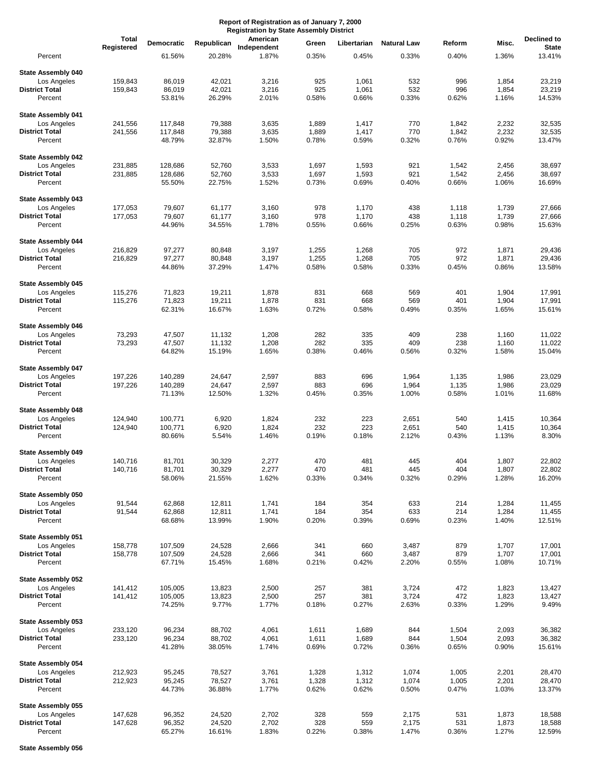|                                          | <b>Total</b>       | Democratic         | Republican       | American       | Green          | Libertarian    | <b>Natural Law</b> | Reform         | Misc.          | Declined to      |
|------------------------------------------|--------------------|--------------------|------------------|----------------|----------------|----------------|--------------------|----------------|----------------|------------------|
|                                          | Registered         |                    |                  | Independent    |                |                |                    |                |                | <b>State</b>     |
| Percent                                  |                    | 61.56%             | 20.28%           | 1.87%          | 0.35%          | 0.45%          | 0.33%              | 0.40%          | 1.36%          | 13.41%           |
| <b>State Assembly 040</b>                |                    |                    |                  |                |                |                |                    |                |                |                  |
| Los Angeles                              | 159,843            | 86,019             | 42,021           | 3,216          | 925            | 1,061          | 532                | 996            | 1,854          | 23,219           |
| <b>District Total</b>                    | 159,843            | 86,019             | 42,021           | 3,216          | 925            | 1,061          | 532                | 996            | 1,854          | 23,219           |
| Percent                                  |                    | 53.81%             | 26.29%           | 2.01%          | 0.58%          | 0.66%          | 0.33%              | 0.62%          | 1.16%          | 14.53%           |
| <b>State Assembly 041</b>                |                    |                    |                  |                |                |                |                    |                |                |                  |
| Los Angeles                              | 241,556            | 117,848            | 79,388           | 3,635          | 1,889          | 1,417          | 770                | 1,842          | 2,232          | 32,535           |
| <b>District Total</b>                    | 241,556            | 117,848            | 79,388           | 3,635          | 1,889          | 1,417          | 770                | 1,842          | 2,232          | 32,535           |
| Percent                                  |                    | 48.79%             | 32.87%           | 1.50%          | 0.78%          | 0.59%          | 0.32%              | 0.76%          | 0.92%          | 13.47%           |
|                                          |                    |                    |                  |                |                |                |                    |                |                |                  |
| <b>State Assembly 042</b><br>Los Angeles | 231,885            | 128,686            | 52,760           | 3,533          | 1,697          | 1,593          | 921                | 1,542          | 2,456          | 38,697           |
| <b>District Total</b>                    | 231,885            | 128,686            | 52,760           | 3,533          | 1,697          | 1,593          | 921                | 1,542          | 2,456          | 38,697           |
| Percent                                  |                    | 55.50%             | 22.75%           | 1.52%          | 0.73%          | 0.69%          | 0.40%              | 0.66%          | 1.06%          | 16.69%           |
|                                          |                    |                    |                  |                |                |                |                    |                |                |                  |
| <b>State Assembly 043</b>                |                    |                    |                  |                |                |                |                    |                |                |                  |
| Los Angeles<br><b>District Total</b>     | 177,053<br>177,053 | 79,607<br>79,607   | 61,177<br>61,177 | 3,160<br>3,160 | 978<br>978     | 1,170<br>1,170 | 438<br>438         | 1,118<br>1,118 | 1,739<br>1,739 | 27,666<br>27,666 |
| Percent                                  |                    | 44.96%             | 34.55%           | 1.78%          | 0.55%          | 0.66%          | 0.25%              | 0.63%          | 0.98%          | 15.63%           |
|                                          |                    |                    |                  |                |                |                |                    |                |                |                  |
| <b>State Assembly 044</b>                |                    |                    |                  |                |                |                |                    |                |                |                  |
| Los Angeles                              | 216,829            | 97,277             | 80,848           | 3,197          | 1,255          | 1,268          | 705                | 972            | 1,871          | 29,436           |
| <b>District Total</b><br>Percent         | 216,829            | 97,277<br>44.86%   | 80,848<br>37.29% | 3,197<br>1.47% | 1,255<br>0.58% | 1,268<br>0.58% | 705<br>0.33%       | 972<br>0.45%   | 1,871<br>0.86% | 29,436<br>13.58% |
|                                          |                    |                    |                  |                |                |                |                    |                |                |                  |
| State Assembly 045                       |                    |                    |                  |                |                |                |                    |                |                |                  |
| Los Angeles                              | 115,276            | 71,823             | 19,211           | 1,878          | 831            | 668            | 569                | 401            | 1,904          | 17,991           |
| <b>District Total</b>                    | 115,276            | 71,823             | 19,211           | 1,878          | 831            | 668            | 569                | 401            | 1,904          | 17,991           |
| Percent                                  |                    | 62.31%             | 16.67%           | 1.63%          | 0.72%          | 0.58%          | 0.49%              | 0.35%          | 1.65%          | 15.61%           |
| <b>State Assembly 046</b>                |                    |                    |                  |                |                |                |                    |                |                |                  |
| Los Angeles                              | 73,293             | 47,507             | 11,132           | 1,208          | 282            | 335            | 409                | 238            | 1,160          | 11,022           |
| <b>District Total</b>                    | 73,293             | 47,507             | 11,132           | 1,208          | 282            | 335            | 409                | 238            | 1,160          | 11,022           |
| Percent                                  |                    | 64.82%             | 15.19%           | 1.65%          | 0.38%          | 0.46%          | 0.56%              | 0.32%          | 1.58%          | 15.04%           |
|                                          |                    |                    |                  |                |                |                |                    |                |                |                  |
| <b>State Assembly 047</b><br>Los Angeles | 197,226            | 140,289            | 24,647           | 2,597          | 883            | 696            | 1,964              | 1,135          | 1,986          | 23,029           |
| <b>District Total</b>                    | 197,226            | 140,289            | 24,647           | 2,597          | 883            | 696            | 1,964              | 1,135          | 1,986          | 23,029           |
| Percent                                  |                    | 71.13%             | 12.50%           | 1.32%          | 0.45%          | 0.35%          | 1.00%              | 0.58%          | 1.01%          | 11.68%           |
|                                          |                    |                    |                  |                |                |                |                    |                |                |                  |
| <b>State Assembly 048</b>                |                    |                    |                  |                |                |                |                    |                |                |                  |
| Los Angeles<br><b>District Total</b>     | 124,940<br>124,940 | 100,771<br>100,771 | 6,920<br>6,920   | 1,824<br>1,824 | 232<br>232     | 223<br>223     | 2,651<br>2,651     | 540<br>540     | 1,415<br>1,415 | 10,364<br>10,364 |
| Percent                                  |                    | 80.66%             | 5.54%            | 1.46%          | 0.19%          | 0.18%          | 2.12%              | 0.43%          | 1.13%          | 8.30%            |
|                                          |                    |                    |                  |                |                |                |                    |                |                |                  |
| State Assembly 049                       |                    |                    |                  |                |                |                |                    |                |                |                  |
| Los Angeles                              | 140,716            | 81,701             | 30,329           | 2,277          | 470            | 481            | 445                | 404            | 1,807          | 22,802           |
| <b>District Total</b><br>Percent         | 140,716            | 81,701<br>58.06%   | 30,329<br>21.55% | 2,277<br>1.62% | 470<br>0.33%   | 481<br>0.34%   | 445<br>0.32%       | 404<br>0.29%   | 1,807<br>1.28% | 22,802<br>16.20% |
|                                          |                    |                    |                  |                |                |                |                    |                |                |                  |
| State Assembly 050                       |                    |                    |                  |                |                |                |                    |                |                |                  |
| Los Angeles                              | 91,544             | 62,868             | 12,811           | 1,741          | 184            | 354            | 633                | 214            | 1,284          | 11,455           |
| <b>District Total</b>                    | 91,544             | 62,868             | 12,811           | 1,741          | 184            | 354            | 633                | 214            | 1,284          | 11,455           |
| Percent                                  |                    | 68.68%             | 13.99%           | 1.90%          | 0.20%          | 0.39%          | 0.69%              | 0.23%          | 1.40%          | 12.51%           |
| State Assembly 051                       |                    |                    |                  |                |                |                |                    |                |                |                  |
| Los Angeles                              | 158,778            | 107,509            | 24,528           | 2,666          | 341            | 660            | 3,487              | 879            | 1,707          | 17,001           |
| <b>District Total</b>                    | 158,778            | 107,509            | 24,528           | 2,666          | 341            | 660            | 3,487              | 879            | 1,707          | 17,001           |
| Percent                                  |                    | 67.71%             | 15.45%           | 1.68%          | 0.21%          | 0.42%          | 2.20%              | 0.55%          | 1.08%          | 10.71%           |
| State Assembly 052                       |                    |                    |                  |                |                |                |                    |                |                |                  |
| Los Angeles                              | 141,412            | 105,005            | 13,823           | 2,500          | 257            | 381            | 3,724              | 472            | 1,823          | 13,427           |
| <b>District Total</b>                    | 141,412            | 105,005            | 13,823           | 2,500          | 257            | 381            | 3,724              | 472            | 1,823          | 13,427           |
| Percent                                  |                    | 74.25%             | 9.77%            | 1.77%          | 0.18%          | 0.27%          | 2.63%              | 0.33%          | 1.29%          | 9.49%            |
|                                          |                    |                    |                  |                |                |                |                    |                |                |                  |
| State Assembly 053                       |                    |                    |                  |                |                |                |                    |                |                |                  |
| Los Angeles<br><b>District Total</b>     | 233,120<br>233,120 | 96,234<br>96,234   | 88,702<br>88,702 | 4,061<br>4,061 | 1,611<br>1,611 | 1,689<br>1,689 | 844<br>844         | 1,504<br>1,504 | 2,093<br>2,093 | 36,382<br>36,382 |
| Percent                                  |                    | 41.28%             | 38.05%           | 1.74%          | 0.69%          | 0.72%          | 0.36%              | 0.65%          | 0.90%          | 15.61%           |
|                                          |                    |                    |                  |                |                |                |                    |                |                |                  |
| State Assembly 054                       |                    |                    |                  |                |                |                |                    |                |                |                  |
| Los Angeles                              | 212,923            | 95,245             | 78,527           | 3,761          | 1,328          | 1,312          | 1,074              | 1,005          | 2,201          | 28,470           |
| <b>District Total</b><br>Percent         | 212,923            | 95,245<br>44.73%   | 78,527<br>36.88% | 3,761<br>1.77% | 1,328<br>0.62% | 1,312<br>0.62% | 1,074<br>0.50%     | 1,005<br>0.47% | 2,201<br>1.03% | 28,470<br>13.37% |
|                                          |                    |                    |                  |                |                |                |                    |                |                |                  |
| State Assembly 055                       |                    |                    |                  |                |                |                |                    |                |                |                  |
| Los Angeles                              | 147,628            | 96,352             | 24,520           | 2,702          | 328            | 559            | 2,175              | 531            | 1,873          | 18,588           |
| <b>District Total</b>                    | 147,628            | 96,352             | 24,520           | 2,702          | 328            | 559            | 2,175              | 531            | 1,873          | 18,588           |
| Percent                                  |                    | 65.27%             | 16.61%           | 1.83%          | 0.22%          | 0.38%          | 1.47%              | 0.36%          | 1.27%          | 12.59%           |

**State Assembly 056**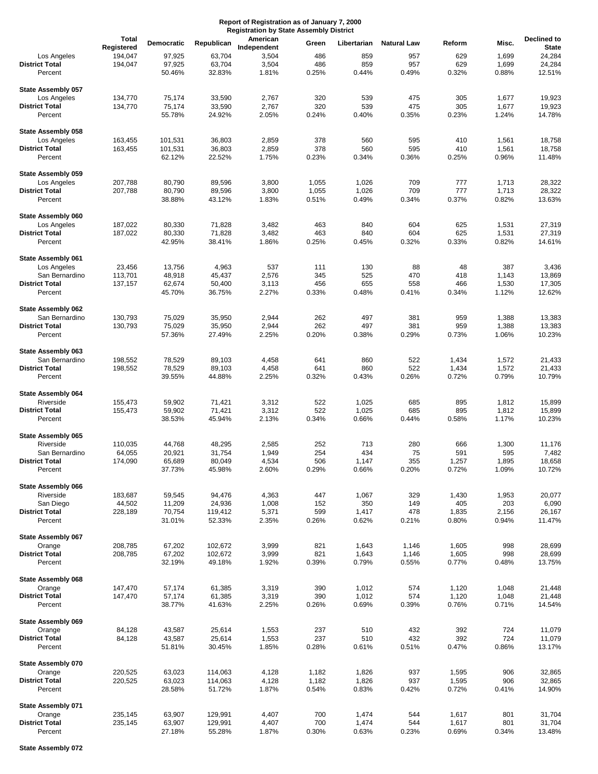|                                    | <b>Total</b>      |                  |                   | American       |              |                |                    | Reform         |                | Declined to      |
|------------------------------------|-------------------|------------------|-------------------|----------------|--------------|----------------|--------------------|----------------|----------------|------------------|
|                                    | Registered        | Democratic       | Republican        | Independent    | Green        | Libertarian    | <b>Natural Law</b> |                | Misc.          | <b>State</b>     |
| Los Angeles                        | 194,047           | 97,925           | 63,704            | 3,504          | 486          | 859            | 957                | 629            | 1,699          | 24,284           |
| <b>District Total</b>              | 194,047           | 97,925           | 63,704            | 3,504          | 486          | 859            | 957                | 629            | 1,699          | 24,284           |
| Percent                            |                   | 50.46%           | 32.83%            | 1.81%          | 0.25%        | 0.44%          | 0.49%              | 0.32%          | 0.88%          | 12.51%           |
| <b>State Assembly 057</b>          |                   |                  |                   |                |              |                |                    |                |                |                  |
| Los Angeles                        | 134,770           | 75,174           | 33,590            | 2,767          | 320          | 539            | 475                | 305            | 1,677          | 19,923           |
| <b>District Total</b>              | 134,770           | 75,174           | 33,590            | 2,767          | 320          | 539            | 475                | 305            | 1,677          | 19,923           |
| Percent                            |                   | 55.78%           | 24.92%            | 2.05%          | 0.24%        | 0.40%          | 0.35%              | 0.23%          | 1.24%          | 14.78%           |
| State Assembly 058<br>Los Angeles  | 163,455           | 101,531          | 36,803            | 2,859          | 378          | 560            | 595                | 410            | 1,561          | 18,758           |
| <b>District Total</b>              | 163,455           | 101,531          | 36,803            | 2,859          | 378          | 560            | 595                | 410            | 1,561          | 18,758           |
| Percent                            |                   | 62.12%           | 22.52%            | 1.75%          | 0.23%        | 0.34%          | 0.36%              | 0.25%          | 0.96%          | 11.48%           |
| State Assembly 059                 |                   |                  |                   |                |              |                |                    |                |                |                  |
| Los Angeles                        | 207,788           | 80,790           | 89,596            | 3,800          | 1,055        | 1,026          | 709                | 777            | 1,713          | 28,322           |
| <b>District Total</b>              | 207,788           | 80,790           | 89,596            | 3,800          | 1,055        | 1,026          | 709                | 777            | 1,713          | 28,322           |
| Percent                            |                   | 38.88%           | 43.12%            | 1.83%          | 0.51%        | 0.49%          | 0.34%              | 0.37%          | 0.82%          | 13.63%           |
| State Assembly 060<br>Los Angeles  | 187,022           | 80,330           | 71,828            | 3,482          | 463          | 840            | 604                | 625            | 1,531          | 27,319           |
| <b>District Total</b>              | 187,022           | 80,330           | 71,828            | 3,482          | 463          | 840            | 604                | 625            | 1,531          | 27,319           |
| Percent                            |                   | 42.95%           | 38.41%            | 1.86%          | 0.25%        | 0.45%          | 0.32%              | 0.33%          | 0.82%          | 14.61%           |
| <b>State Assembly 061</b>          |                   |                  |                   |                |              |                |                    |                |                |                  |
| Los Angeles                        | 23,456            | 13,756           | 4,963             | 537            | 111          | 130            | 88                 | 48             | 387            | 3,436            |
| San Bernardino                     | 113,701           | 48,918           | 45,437            | 2,576          | 345          | 525            | 470                | 418            | 1,143          | 13,869           |
| <b>District Total</b>              | 137,157           | 62,674           | 50,400            | 3,113          | 456          | 655            | 558                | 466            | 1,530          | 17,305           |
| Percent                            |                   | 45.70%           | 36.75%            | 2.27%          | 0.33%        | 0.48%          | 0.41%              | 0.34%          | 1.12%          | 12.62%           |
| State Assembly 062                 |                   |                  |                   |                |              |                |                    |                |                |                  |
| San Bernardino                     | 130,793           | 75,029           | 35,950            | 2,944          | 262          | 497            | 381                | 959            | 1,388          | 13,383           |
| <b>District Total</b><br>Percent   | 130,793           | 75,029<br>57.36% | 35,950<br>27.49%  | 2,944<br>2.25% | 262<br>0.20% | 497<br>0.38%   | 381<br>0.29%       | 959<br>0.73%   | 1,388<br>1.06% | 13,383<br>10.23% |
| State Assembly 063                 |                   |                  |                   |                |              |                |                    |                |                |                  |
| San Bernardino                     | 198,552           | 78,529           | 89,103            | 4,458          | 641          | 860            | 522                | 1,434          | 1,572          | 21,433           |
| <b>District Total</b>              | 198,552           | 78,529           | 89,103            | 4,458          | 641          | 860            | 522                | 1,434          | 1,572          | 21,433           |
| Percent                            |                   | 39.55%           | 44.88%            | 2.25%          | 0.32%        | 0.43%          | 0.26%              | 0.72%          | 0.79%          | 10.79%           |
| <b>State Assembly 064</b>          |                   |                  |                   |                |              |                |                    |                |                |                  |
| Riverside                          | 155,473           | 59,902           | 71,421            | 3,312          | 522          | 1,025          | 685                | 895            | 1,812          | 15,899           |
| <b>District Total</b><br>Percent   | 155,473           | 59,902<br>38.53% | 71,421<br>45.94%  | 3,312<br>2.13% | 522<br>0.34% | 1,025<br>0.66% | 685<br>0.44%       | 895<br>0.58%   | 1,812<br>1.17% | 15,899<br>10.23% |
| <b>State Assembly 065</b>          |                   |                  |                   |                |              |                |                    |                |                |                  |
| Riverside                          | 110,035           | 44,768           | 48,295            | 2,585          | 252          | 713            | 280                | 666            | 1,300          | 11,176           |
| San Bernardino                     | 64,055            | 20,921           | 31,754            | 1,949          | 254          | 434            | 75                 | 591            | 595            | 7,482            |
| <b>District Total</b>              | 174,090           | 65,689           | 80,049            | 4,534          | 506          | 1,147          | 355                | 1,257          | 1,895          | 18,658           |
| Percent                            |                   | 37.73%           | 45.98%            | 2.60%          | 0.29%        | 0.66%          | 0.20%              | 0.72%          | 1.09%          | 10.72%           |
| State Assembly 066                 |                   |                  |                   |                |              |                |                    |                |                |                  |
| Riverside                          | 183,687           | 59,545           | 94,476            | 4,363          | 447          | 1,067          | 329                | 1,430          | 1,953          | 20,077           |
| San Diego<br><b>District Total</b> | 44,502<br>228,189 | 11,209<br>70,754 | 24,936<br>119,412 | 1,008<br>5,371 | 152<br>599   | 350<br>1,417   | 149<br>478         | 405<br>1,835   | 203<br>2,156   | 6,090<br>26,167  |
| Percent                            |                   | 31.01%           | 52.33%            | 2.35%          | 0.26%        | 0.62%          | 0.21%              | 0.80%          | 0.94%          | 11.47%           |
| State Assembly 067                 |                   |                  |                   |                |              |                |                    |                |                |                  |
| Orange                             | 208,785           | 67,202           | 102,672           | 3,999          | 821          | 1,643          | 1,146              | 1,605          | 998            | 28,699           |
| <b>District Total</b><br>Percent   | 208,785           | 67,202<br>32.19% | 102,672<br>49.18% | 3,999<br>1.92% | 821<br>0.39% | 1,643<br>0.79% | 1,146<br>0.55%     | 1,605<br>0.77% | 998<br>0.48%   | 28,699<br>13.75% |
|                                    |                   |                  |                   |                |              |                |                    |                |                |                  |
| State Assembly 068<br>Orange       | 147,470           | 57,174           | 61,385            | 3,319          | 390          | 1,012          | 574                | 1,120          | 1,048          | 21,448           |
| <b>District Total</b>              | 147,470           | 57,174           | 61,385            | 3,319          | 390          | 1,012          | 574                | 1,120          | 1,048          | 21,448           |
| Percent                            |                   | 38.77%           | 41.63%            | 2.25%          | 0.26%        | 0.69%          | 0.39%              | 0.76%          | 0.71%          | 14.54%           |
| State Assembly 069                 |                   |                  |                   |                |              |                |                    |                |                |                  |
| Orange                             | 84,128            | 43,587           | 25,614            | 1,553          | 237          | 510            | 432                | 392            | 724            | 11,079           |
| <b>District Total</b><br>Percent   | 84,128            | 43,587<br>51.81% | 25,614<br>30.45%  | 1,553<br>1.85% | 237<br>0.28% | 510<br>0.61%   | 432<br>0.51%       | 392<br>0.47%   | 724<br>0.86%   | 11,079<br>13.17% |
|                                    |                   |                  |                   |                |              |                |                    |                |                |                  |
| State Assembly 070<br>Orange       | 220,525           | 63,023           | 114,063           | 4,128          | 1,182        | 1,826          | 937                | 1,595          | 906            | 32,865           |
| <b>District Total</b>              | 220,525           | 63,023           | 114,063           | 4,128          | 1,182        | 1,826          | 937                | 1,595          | 906            | 32,865           |
| Percent                            |                   | 28.58%           | 51.72%            | 1.87%          | 0.54%        | 0.83%          | 0.42%              | 0.72%          | 0.41%          | 14.90%           |
| State Assembly 071                 |                   |                  |                   |                |              |                |                    |                |                |                  |
| Orange                             | 235,145           | 63,907           | 129,991           | 4,407          | 700          | 1,474          | 544                | 1,617          | 801            | 31,704           |
| <b>District Total</b>              | 235,145           | 63,907           | 129,991           | 4,407          | 700          | 1,474          | 544                | 1,617          | 801            | 31,704           |
| Percent                            |                   | 27.18%           | 55.28%            | 1.87%          | 0.30%        | 0.63%          | 0.23%              | 0.69%          | 0.34%          | 13.48%           |

**State Assembly 072**